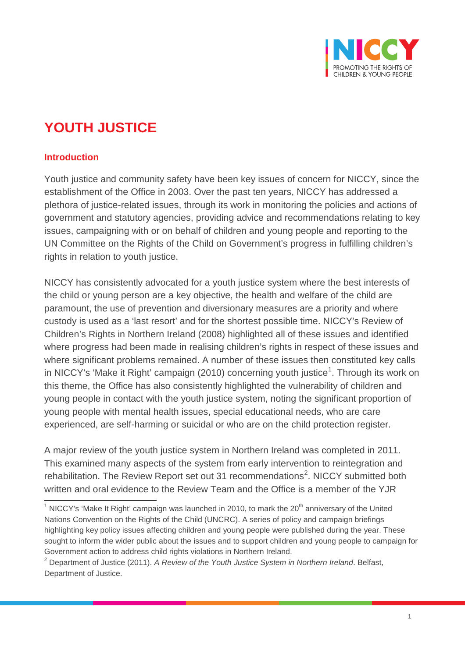

# **YOUTH JUSTICE**

## **Introduction**

Youth justice and community safety have been key issues of concern for NICCY, since the establishment of the Office in 2003. Over the past ten years, NICCY has addressed a plethora of justice-related issues, through its work in monitoring the policies and actions of government and statutory agencies, providing advice and recommendations relating to key issues, campaigning with or on behalf of children and young people and reporting to the UN Committee on the Rights of the Child on Government's progress in fulfilling children's rights in relation to youth justice.

NICCY has consistently advocated for a youth justice system where the best interests of the child or young person are a key objective, the health and welfare of the child are paramount, the use of prevention and diversionary measures are a priority and where custody is used as a 'last resort' and for the shortest possible time. NICCY's Review of Children's Rights in Northern Ireland (2008) highlighted all of these issues and identified where progress had been made in realising children's rights in respect of these issues and where significant problems remained. A number of these issues then constituted key calls in NICCY's 'Make it Right' campaign (20[1](#page-0-0)0) concerning youth justice<sup>1</sup>. Through its work on this theme, the Office has also consistently highlighted the vulnerability of children and young people in contact with the youth justice system, noting the significant proportion of young people with mental health issues, special educational needs, who are care experienced, are self-harming or suicidal or who are on the child protection register.

A major review of the youth justice system in Northern Ireland was completed in 2011. This examined many aspects of the system from early intervention to reintegration and rehabilitation. The Review Report set out 31 recommendations<sup>[2](#page-0-1)</sup>. NICCY submitted both written and oral evidence to the Review Team and the Office is a member of the YJR

<span id="page-0-0"></span> $1$  NICCY's 'Make It Right' campaign was launched in 2010, to mark the 20<sup>th</sup> anniversary of the United Nations Convention on the Rights of the Child (UNCRC). A series of policy and campaign briefings highlighting key policy issues affecting children and young people were published during the year. These sought to inform the wider public about the issues and to support children and young people to campaign for Government action to address child rights violations in Northern Ireland.

<span id="page-0-1"></span><sup>2</sup> Department of Justice (2011). *A Review of the Youth Justice System in Northern Ireland*. Belfast, Department of Justice.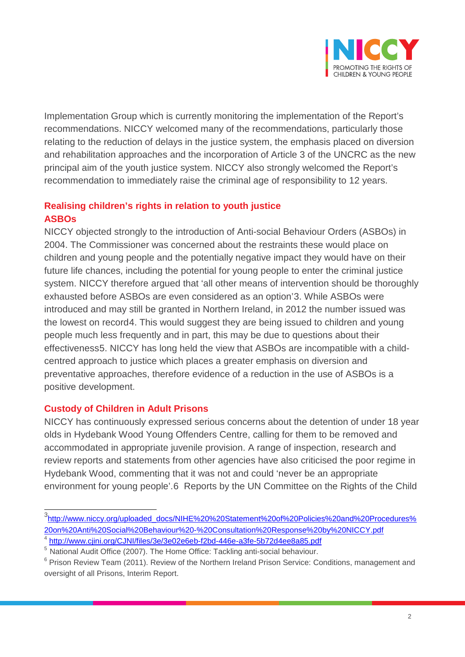

Implementation Group which is currently monitoring the implementation of the Report's recommendations. NICCY welcomed many of the recommendations, particularly those relating to the reduction of delays in the justice system, the emphasis placed on diversion and rehabilitation approaches and the incorporation of Article 3 of the UNCRC as the new principal aim of the youth justice system. NICCY also strongly welcomed the Report's recommendation to immediately raise the criminal age of responsibility to 12 years.

#### **Realising children's rights in relation to youth justice ASBOs**

NICCY objected strongly to the introduction of Anti-social Behaviour Orders (ASBOs) in 2004. The Commissioner was concerned about the restraints these would place on children and young people and the potentially negative impact they would have on their future life chances, including the potential for young people to enter the criminal justice system. NICCY therefore argued that 'all other means of intervention should be thoroughly exhausted before ASBOs are even considered as an option'[3.](#page-1-0) While ASBOs were introduced and may still be granted in Northern Ireland, in 2012 the number issued was the lowest on record[4.](#page-1-1) This would suggest they are being issued to children and young people much less frequently and in part, this may be due to questions about their effectiveness[5.](#page-1-2) NICCY has long held the view that ASBOs are incompatible with a childcentred approach to justice which places a greater emphasis on diversion and preventative approaches, therefore evidence of a reduction in the use of ASBOs is a positive development.

## **Custody of Children in Adult Prisons**

NICCY has continuously expressed serious concerns about the detention of under 18 year olds in Hydebank Wood Young Offenders Centre, calling for them to be removed and accommodated in appropriate juvenile provision. A range of inspection, research and review reports and statements from other agencies have also criticised the poor regime in Hydebank Wood, commenting that it was not and could 'never be an appropriate environment for young people'.[6](#page-1-3) Reports by the UN Committee on the Rights of the Child

<span id="page-1-0"></span>3 [http://www.niccy.org/uploaded\\_docs/NIHE%20%20Statement%20of%20Policies%20and%20Procedures%](http://www.niccy.org/uploaded_docs/NIHE%20%20Statement%20of%20Policies%20and%20Procedures%20on%20Anti%20Social%20Behaviour%20-%20Consultation%20Response%20by%20NICCY.pdf) [20on%20Anti%20Social%20Behaviour%20-%20Consultation%20Response%20by%20NICCY.pdf](http://www.niccy.org/uploaded_docs/NIHE%20%20Statement%20of%20Policies%20and%20Procedures%20on%20Anti%20Social%20Behaviour%20-%20Consultation%20Response%20by%20NICCY.pdf) <sup>4</sup> <http://www.cjini.org/CJNI/files/3e/3e02e6eb-f2bd-446e-a3fe-5b72d4ee8a85.pdf>

<span id="page-1-2"></span><span id="page-1-1"></span><sup>&</sup>lt;sup>5</sup> National Audit Office (2007). The Home Office: Tackling anti-social behaviour.

<span id="page-1-3"></span><sup>&</sup>lt;sup>6</sup> Prison Review Team (2011). Review of the Northern Ireland Prison Service: Conditions, management and oversight of all Prisons, Interim Report.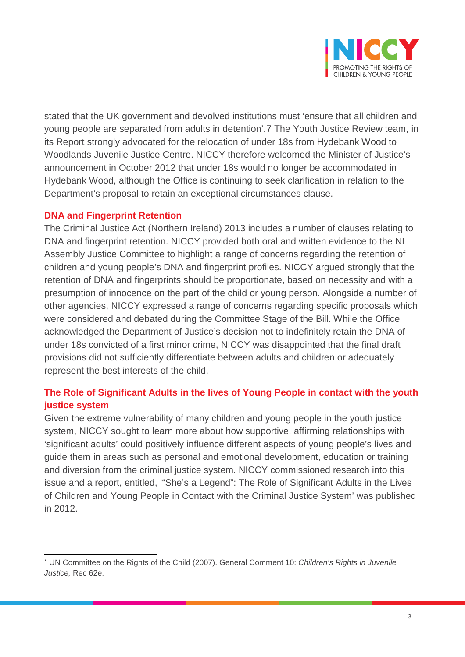

stated that the UK government and devolved institutions must 'ensure that all children and young people are separated from adults in detention'.[7](#page-2-0) The Youth Justice Review team, in its Report strongly advocated for the relocation of under 18s from Hydebank Wood to Woodlands Juvenile Justice Centre. NICCY therefore welcomed the Minister of Justice's announcement in October 2012 that under 18s would no longer be accommodated in Hydebank Wood, although the Office is continuing to seek clarification in relation to the Department's proposal to retain an exceptional circumstances clause.

## **DNA and Fingerprint Retention**

The Criminal Justice Act (Northern Ireland) 2013 includes a number of clauses relating to DNA and fingerprint retention. NICCY provided both oral and written evidence to the NI Assembly Justice Committee to highlight a range of concerns regarding the retention of children and young people's DNA and fingerprint profiles. NICCY argued strongly that the retention of DNA and fingerprints should be proportionate, based on necessity and with a presumption of innocence on the part of the child or young person. Alongside a number of other agencies, NICCY expressed a range of concerns regarding specific proposals which were considered and debated during the Committee Stage of the Bill. While the Office acknowledged the Department of Justice's decision not to indefinitely retain the DNA of under 18s convicted of a first minor crime, NICCY was disappointed that the final draft provisions did not sufficiently differentiate between adults and children or adequately represent the best interests of the child.

# **The Role of Significant Adults in the lives of Young People in contact with the youth justice system**

Given the extreme vulnerability of many children and young people in the youth justice system, NICCY sought to learn more about how supportive, affirming relationships with 'significant adults' could positively influence different aspects of young people's lives and guide them in areas such as personal and emotional development, education or training and diversion from the criminal justice system. NICCY commissioned research into this issue and a report, entitled, '"She's a Legend": The Role of Significant Adults in the Lives of Children and Young People in Contact with the Criminal Justice System' was published in 2012.

<span id="page-2-0"></span><sup>7</sup> UN Committee on the Rights of the Child (2007). General Comment 10: *Children's Rights in Juvenile Justice,* Rec 62e.